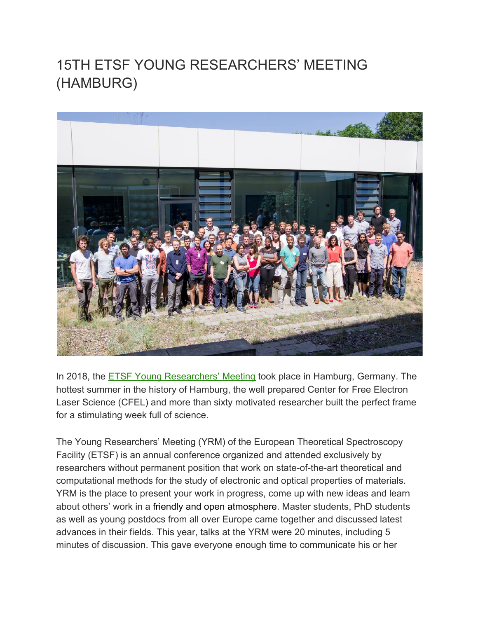# 15TH ETSF YOUNG RESEARCHERS' MEETING (HAMBURG)



In 2018, the **[ETSF Young Researchers' Meeting](http://yrm2017.github.io/) took place in Hamburg, Germany. The** hottest summer in the history of Hamburg, the well prepared Center for Free Electron Laser Science (CFEL) and more than sixty motivated researcher built the perfect frame for a stimulating week full of science.

The Young Researchers' Meeting (YRM) of the European Theoretical Spectroscopy Facility (ETSF) is an annual conference organized and attended exclusively by researchers without permanent position that work on state-of-the-art theoretical and computational methods for the study of electronic and optical properties of materials. YRM is the place to present your work in progress, come up with new ideas and learn about others' work in a friendly and open atmosphere. Master students, PhD students as well as young postdocs from all over Europe came together and discussed latest advances in their fields. This year, talks at the YRM were 20 minutes, including 5 minutes of discussion. This gave everyone enough time to communicate his or her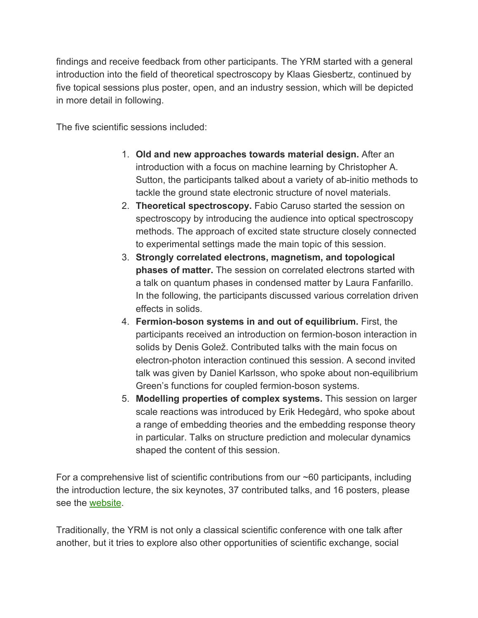findings and receive feedback from other participants. The YRM started with a general introduction into the field of theoretical spectroscopy by Klaas Giesbertz, continued by five topical sessions plus poster, open, and an industry session, which will be depicted in more detail in following.

The five scientific sessions included:

- 1. **Old and new approaches towards material design.** After an introduction with a focus on machine learning by Christopher A. Sutton, the participants talked about a variety of ab-initio methods to tackle the ground state electronic structure of novel materials.
- 2. **Theoretical spectroscopy.** Fabio Caruso started the session on spectroscopy by introducing the audience into optical spectroscopy methods. The approach of excited state structure closely connected to experimental settings made the main topic of this session.
- 3. **Strongly correlated electrons, magnetism, and topological phases of matter.** The session on correlated electrons started with a talk on quantum phases in condensed matter by Laura Fanfarillo. In the following, the participants discussed various correlation driven effects in solids.
- 4. **Fermion-boson systems in and out of equilibrium.** First, the participants received an introduction on fermion-boson interaction in solids by Denis Golež. Contributed talks with the main focus on electron-photon interaction continued this session. A second invited talk was given by Daniel Karlsson, who spoke about non-equilibrium Green's functions for coupled fermion-boson systems.
- 5. **Modelling properties of complex systems.** This session on larger scale reactions was introduced by Erik Hedegård, who spoke about a range of embedding theories and the embedding response theory in particular. Talks on structure prediction and molecular dynamics shaped the content of this session.

For a comprehensive list of scientific contributions from our ~60 participants, including the introduction lecture, the six keynotes, 37 contributed talks, and 16 posters, please see the [website](https://yrm2018.github.io/programme/).

Traditionally, the YRM is not only a classical scientific conference with one talk after another, but it tries to explore also other opportunities of scientific exchange, social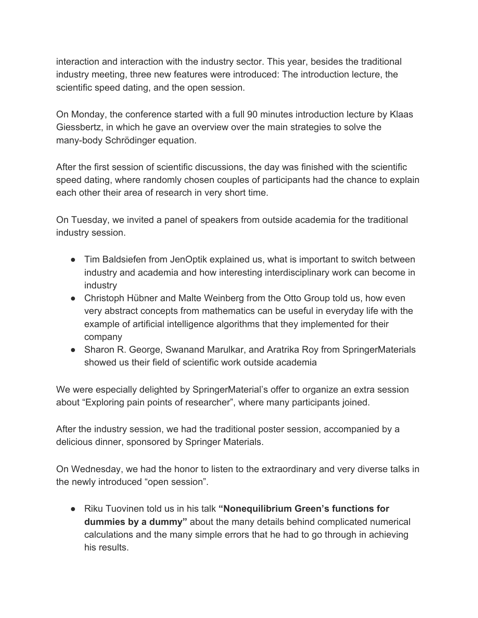interaction and interaction with the industry sector. This year, besides the traditional industry meeting, three new features were introduced: The introduction lecture, the scientific speed dating, and the open session.

On Monday, the conference started with a full 90 minutes introduction lecture by Klaas Giessbertz, in which he gave an overview over the main strategies to solve the many-body Schrödinger equation.

After the first session of scientific discussions, the day was finished with the scientific speed dating, where randomly chosen couples of participants had the chance to explain each other their area of research in very short time.

On Tuesday, we invited a panel of speakers from outside academia for the traditional industry session.

- Tim Baldsiefen from JenOptik explained us, what is important to switch between industry and academia and how interesting interdisciplinary work can become in industry
- Christoph Hübner and Malte Weinberg from the Otto Group told us, how even very abstract concepts from mathematics can be useful in everyday life with the example of artificial intelligence algorithms that they implemented for their company
- Sharon R. George, Swanand Marulkar, and Aratrika Roy from SpringerMaterials showed us their field of scientific work outside academia

We were especially delighted by SpringerMaterial's offer to organize an extra session about "Exploring pain points of researcher", where many participants joined.

After the industry session, we had the traditional poster session, accompanied by a delicious dinner, sponsored by Springer Materials.

On Wednesday, we had the honor to listen to the extraordinary and very diverse talks in the newly introduced "open session".

● Riku Tuovinen told us in his talk **"Nonequilibrium Green's functions for dummies by a dummy"** about the many details behind complicated numerical calculations and the many simple errors that he had to go through in achieving his results.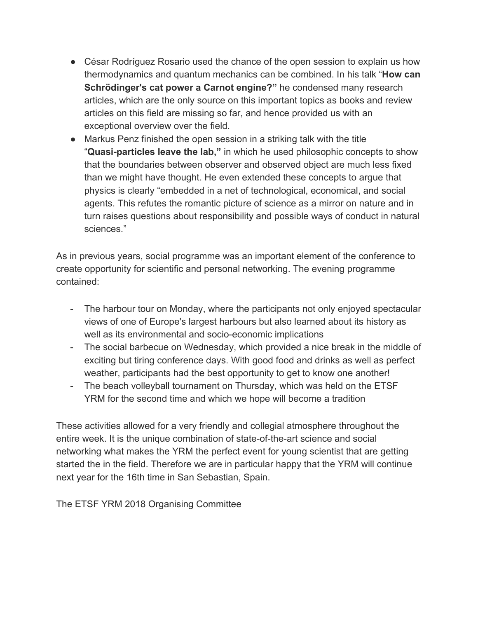- César Rodríguez Rosario used the chance of the open session to explain us how thermodynamics and quantum mechanics can be combined. In his talk "**How can Schrödinger's cat power a Carnot engine?"** he condensed many research articles, which are the only source on this important topics as books and review articles on this field are missing so far, and hence provided us with an exceptional overview over the field.
- Markus Penz finished the open session in a striking talk with the title "**Quasi-particles leave the lab,"** in which he used philosophic concepts to show that the boundaries between observer and observed object are much less fixed than we might have thought. He even extended these concepts to argue that physics is clearly "embedded in a net of technological, economical, and social agents. This refutes the romantic picture of science as a mirror on nature and in turn raises questions about responsibility and possible ways of conduct in natural sciences."

As in previous years, social programme was an important element of the conference to create opportunity for scientific and personal networking. The evening programme contained:

- The harbour tour on Monday, where the participants not only enjoyed spectacular views of one of Europe's largest harbours but also learned about its history as well as its environmental and socio-economic implications
- The social barbecue on Wednesday, which provided a nice break in the middle of exciting but tiring conference days. With good food and drinks as well as perfect weather, participants had the best opportunity to get to know one another!
- The beach volleyball tournament on Thursday, which was held on the ETSF YRM for the second time and which we hope will become a tradition

These activities allowed for a very friendly and collegial atmosphere throughout the entire week. It is the unique combination of state-of-the-art science and social networking what makes the YRM the perfect event for young scientist that are getting started the in the field. Therefore we are in particular happy that the YRM will continue next year for the 16th time in San Sebastian, Spain.

The ETSF YRM 2018 Organising Committee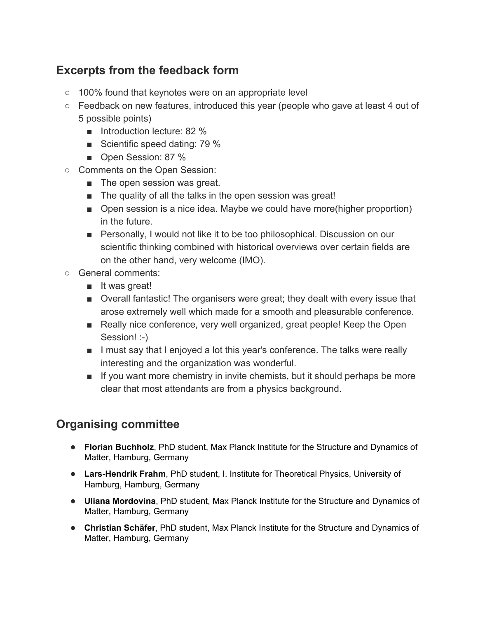## **Excerpts from the feedback form**

- 100% found that keynotes were on an appropriate level
- Feedback on new features, introduced this year (people who gave at least 4 out of 5 possible points)
	- Introduction lecture: 82 %
	- Scientific speed dating: 79 %
	- Open Session: 87 %
- Comments on the Open Session:
	- The open session was great.
	- The quality of all the talks in the open session was great!
	- Open session is a nice idea. Maybe we could have more(higher proportion) in the future.
	- Personally, I would not like it to be too philosophical. Discussion on our scientific thinking combined with historical overviews over certain fields are on the other hand, very welcome (IMO).
- General comments:
	- It was great!
	- Overall fantastic! The organisers were great; they dealt with every issue that arose extremely well which made for a smooth and pleasurable conference.
	- Really nice conference, very well organized, great people! Keep the Open Session! :-)
	- I must say that I enjoyed a lot this year's conference. The talks were really interesting and the organization was wonderful.
	- If you want more chemistry in invite chemists, but it should perhaps be more clear that most attendants are from a physics background.

# **Organising committee**

- **Florian Buchholz**, PhD student, Max Planck Institute for the Structure and Dynamics of Matter, Hamburg, Germany
- **Lars-Hendrik Frahm**, PhD student, I. Institute for Theoretical Physics, University of Hamburg, Hamburg, Germany
- **Uliana Mordovina**, PhD student, Max Planck Institute for the Structure and Dynamics of Matter, Hamburg, Germany
- **Christian Schäfer**, PhD student, Max Planck Institute for the Structure and Dynamics of Matter, Hamburg, Germany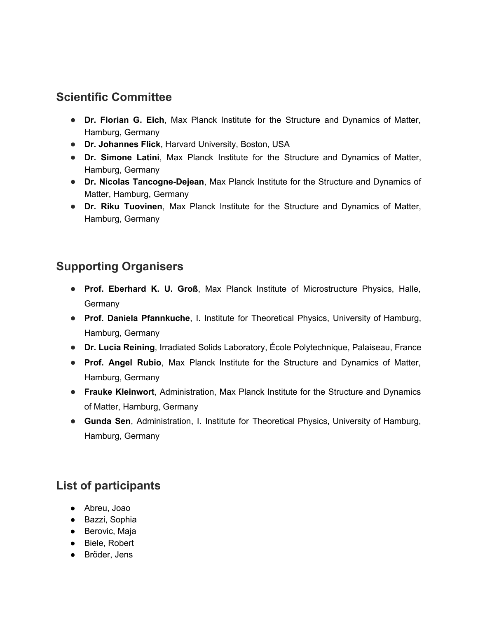#### **Scientific Committee**

- **Dr. Florian G. Eich**, Max Planck Institute for the Structure and Dynamics of Matter, Hamburg, Germany
- **Dr. Johannes Flick**, Harvard University, Boston, USA
- **Dr. Simone Latini**, Max Planck Institute for the Structure and Dynamics of Matter, Hamburg, Germany
- **Dr. Nicolas Tancogne-Dejean**, Max Planck Institute for the Structure and Dynamics of Matter, Hamburg, Germany
- **Dr. Riku Tuovinen**, Max Planck Institute for the Structure and Dynamics of Matter, Hamburg, Germany

## **Supporting Organisers**

- **Prof. Eberhard K. U. Groß**, Max Planck Institute of Microstructure Physics, Halle, Germany
- **Prof. Daniela Pfannkuche**, I. Institute for Theoretical Physics, University of Hamburg, Hamburg, Germany
- **Dr. Lucia Reining**, Irradiated Solids Laboratory, École Polytechnique, Palaiseau, France
- **Prof. Angel Rubio**, Max Planck Institute for the Structure and Dynamics of Matter, Hamburg, Germany
- **Frauke Kleinwort**, Administration, Max Planck Institute for the Structure and Dynamics of Matter, Hamburg, Germany
- **Gunda Sen**, Administration, I. Institute for Theoretical Physics, University of Hamburg, Hamburg, Germany

# **List of participants**

- Abreu, Joao
- Bazzi, Sophia
- Berovic, Maja
- Biele, Robert
- Bröder, Jens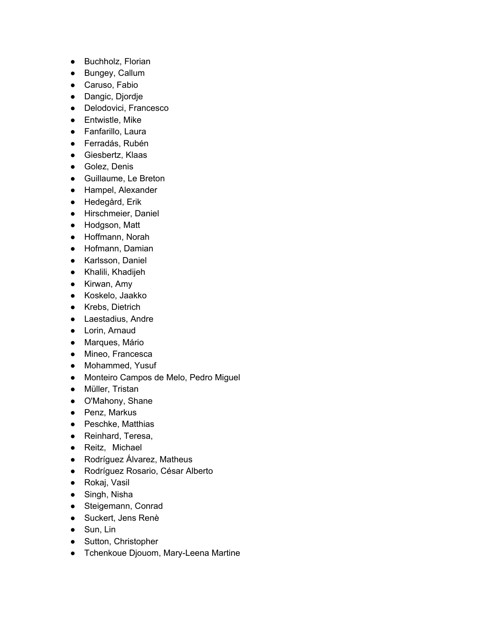- Buchholz, Florian
- Bungey, Callum
- Caruso, Fabio
- Dangic, Djordje
- Delodovici, Francesco
- Entwistle, Mike
- Fanfarillo, Laura
- Ferradás, Rubén
- Giesbertz, Klaas
- Golez, Denis
- Guillaume, Le Breton
- Hampel, Alexander
- Hedegård, Erik
- Hirschmeier, Daniel
- Hodgson, Matt
- Hoffmann, Norah
- Hofmann, Damian
- Karlsson, Daniel
- Khalili, Khadijeh
- Kirwan, Amy
- Koskelo, Jaakko
- Krebs, Dietrich
- Laestadius, Andre
- Lorin, Arnaud
- Marques, Mário
- Mineo, Francesca
- Mohammed, Yusuf
- Monteiro Campos de Melo, Pedro Miguel
- Müller, Tristan
- O'Mahony, Shane
- Penz, Markus
- Peschke, Matthias
- Reinhard, Teresa,
- Reitz, Michael
- Rodríguez Álvarez, Matheus
- Rodríguez Rosario, César Alberto
- Rokaj, Vasil
- Singh, Nisha
- Steigemann, Conrad
- Suckert, Jens Renè
- Sun, Lin
- Sutton, Christopher
- Tchenkoue Djouom, Mary-Leena Martine